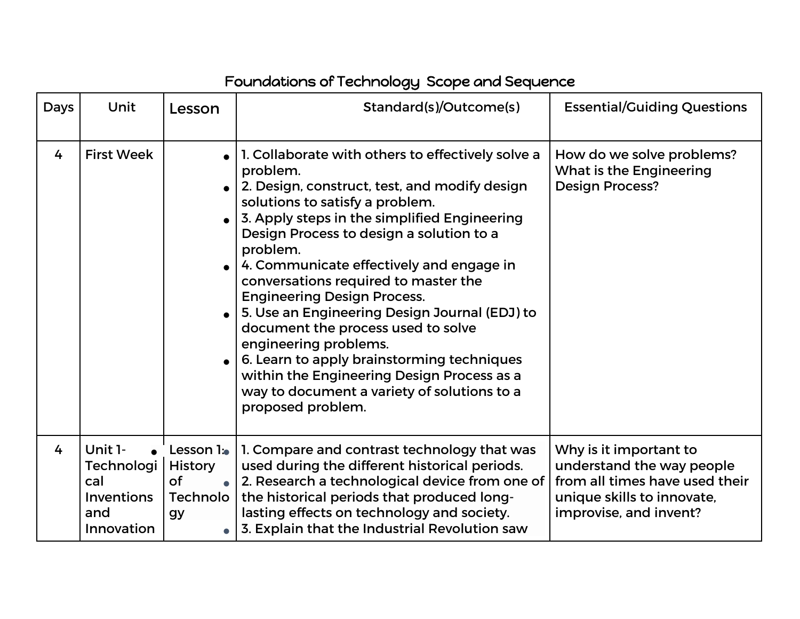| Days | Unit                                                                          | Lesson                                                     | Standard(s)/Outcome(s)                                                                                                                                                                                                                                                                                                                                                                                                                                                                                                                                                                                                                                              | <b>Essential/Guiding Questions</b>                                                                                                            |
|------|-------------------------------------------------------------------------------|------------------------------------------------------------|---------------------------------------------------------------------------------------------------------------------------------------------------------------------------------------------------------------------------------------------------------------------------------------------------------------------------------------------------------------------------------------------------------------------------------------------------------------------------------------------------------------------------------------------------------------------------------------------------------------------------------------------------------------------|-----------------------------------------------------------------------------------------------------------------------------------------------|
| 4    | <b>First Week</b>                                                             |                                                            | 1. Collaborate with others to effectively solve a<br>problem.<br>2. Design, construct, test, and modify design<br>solutions to satisfy a problem.<br>3. Apply steps in the simplified Engineering<br>Design Process to design a solution to a<br>problem.<br>4. Communicate effectively and engage in<br>conversations required to master the<br><b>Engineering Design Process.</b><br>5. Use an Engineering Design Journal (EDJ) to<br>document the process used to solve<br>engineering problems.<br>6. Learn to apply brainstorming techniques<br>within the Engineering Design Process as a<br>way to document a variety of solutions to a<br>proposed problem. | How do we solve problems?<br>What is the Engineering<br><b>Design Process?</b>                                                                |
| 4    | Unit 1-<br>Technologi<br>cal<br><b>Inventions</b><br>and<br><b>Innovation</b> | Lesson 1:<br><b>History</b><br>of<br><b>Technolo</b><br>gy | 1. Compare and contrast technology that was<br>used during the different historical periods.<br>2. Research a technological device from one of<br>the historical periods that produced long-<br>lasting effects on technology and society.<br>3. Explain that the Industrial Revolution saw                                                                                                                                                                                                                                                                                                                                                                         | Why is it important to<br>understand the way people<br>from all times have used their<br>unique skills to innovate,<br>improvise, and invent? |

## Foundations of Technology Scope and Sequence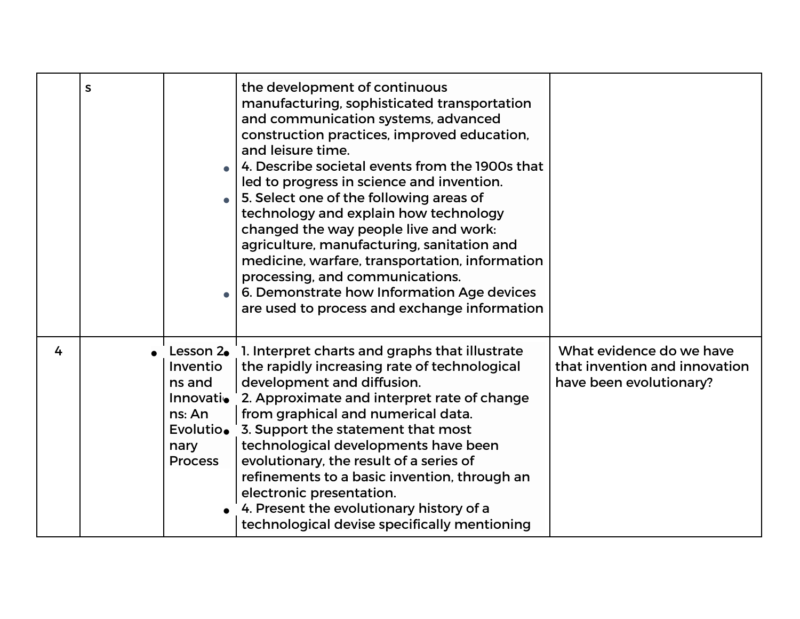|   | S |                                                        | the development of continuous<br>manufacturing, sophisticated transportation<br>and communication systems, advanced<br>construction practices, improved education,<br>and leisure time.<br>4. Describe societal events from the 1900s that<br>led to progress in science and invention.<br>5. Select one of the following areas of<br>technology and explain how technology<br>changed the way people live and work:<br>agriculture, manufacturing, sanitation and<br>medicine, warfare, transportation, information<br>processing, and communications.<br>6. Demonstrate how Information Age devices<br>are used to process and exchange information |                                                                                      |
|---|---|--------------------------------------------------------|-------------------------------------------------------------------------------------------------------------------------------------------------------------------------------------------------------------------------------------------------------------------------------------------------------------------------------------------------------------------------------------------------------------------------------------------------------------------------------------------------------------------------------------------------------------------------------------------------------------------------------------------------------|--------------------------------------------------------------------------------------|
| 4 |   | Inventio<br>ns and<br>ns: An<br>nary<br><b>Process</b> | Lesson 2. 1. Interpret charts and graphs that illustrate<br>the rapidly increasing rate of technological<br>development and diffusion.<br>Innovation 2. Approximate and interpret rate of change<br>from graphical and numerical data.<br>Evolutio $\bullet$ 3. Support the statement that most<br>technological developments have been<br>evolutionary, the result of a series of<br>refinements to a basic invention, through an<br>electronic presentation.<br>4. Present the evolutionary history of a<br>technological devise specifically mentioning                                                                                            | What evidence do we have<br>that invention and innovation<br>have been evolutionary? |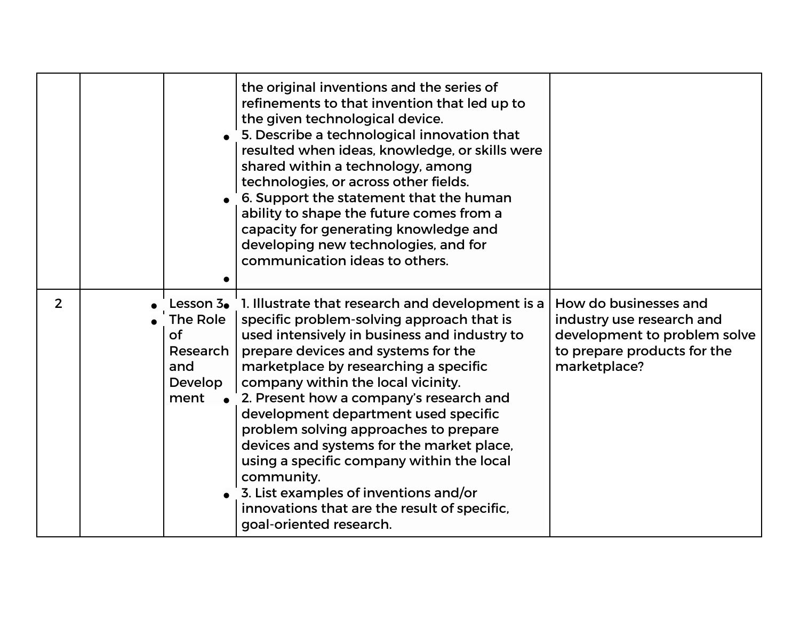|                |                                                             | the original inventions and the series of<br>refinements to that invention that led up to<br>the given technological device.<br>• 5. Describe a technological innovation that<br>resulted when ideas, knowledge, or skills were<br>shared within a technology, among<br>technologies, or across other fields.<br>6. Support the statement that the human<br>ability to shape the future comes from a<br>capacity for generating knowledge and<br>developing new technologies, and for<br>communication ideas to others.                                                                                                                       |                                                                                                                                   |
|----------------|-------------------------------------------------------------|-----------------------------------------------------------------------------------------------------------------------------------------------------------------------------------------------------------------------------------------------------------------------------------------------------------------------------------------------------------------------------------------------------------------------------------------------------------------------------------------------------------------------------------------------------------------------------------------------------------------------------------------------|-----------------------------------------------------------------------------------------------------------------------------------|
| $\overline{2}$ | The Role<br><b>of</b><br>Research<br>and<br>Develop<br>ment | Lesson $3\bullet$ 1. Illustrate that research and development is a<br>specific problem-solving approach that is<br>used intensively in business and industry to<br>prepare devices and systems for the<br>marketplace by researching a specific<br>company within the local vicinity.<br>2. Present how a company's research and<br>development department used specific<br>problem solving approaches to prepare<br>devices and systems for the market place,<br>using a specific company within the local<br>community.<br>3. List examples of inventions and/or<br>innovations that are the result of specific,<br>goal-oriented research. | How do businesses and<br>industry use research and<br>development to problem solve<br>to prepare products for the<br>marketplace? |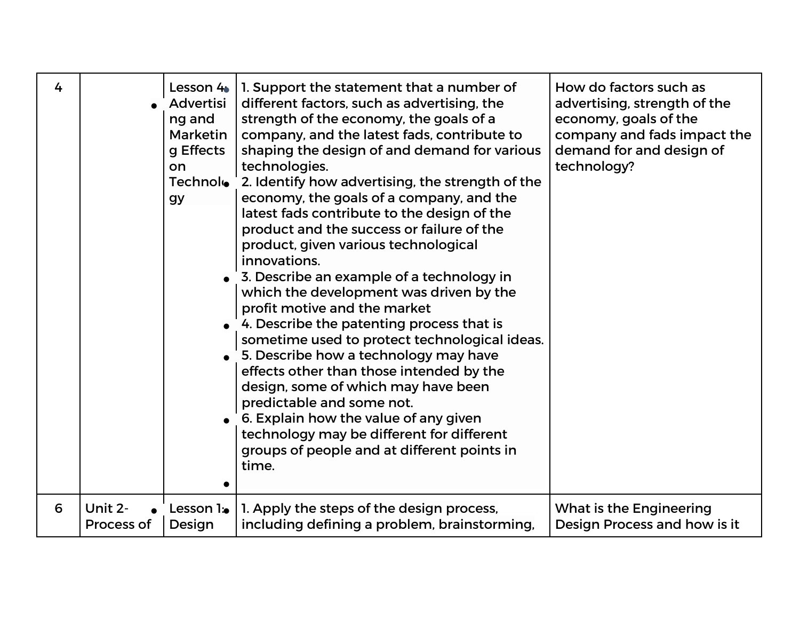| 4 |            | Lesson 4<br><b>Advertisi</b><br>ng and<br><b>Marketin</b><br>g Effects<br>on<br>gy | 1. Support the statement that a number of<br>different factors, such as advertising, the<br>strength of the economy, the goals of a<br>company, and the latest fads, contribute to<br>shaping the design of and demand for various<br>technologies.<br>Technol 2. Identify how advertising, the strength of the<br>economy, the goals of a company, and the<br>latest fads contribute to the design of the<br>product and the success or failure of the<br>product, given various technological<br>innovations.<br>3. Describe an example of a technology in<br>which the development was driven by the<br>profit motive and the market<br>4. Describe the patenting process that is<br>sometime used to protect technological ideas.<br>• 5. Describe how a technology may have<br>effects other than those intended by the<br>design, some of which may have been<br>predictable and some not.<br>$\bullet$ 6. Explain how the value of any given<br>technology may be different for different<br>groups of people and at different points in<br>time. | How do factors such as<br>advertising, strength of the<br>economy, goals of the<br>company and fads impact the<br>demand for and design of<br>technology? |
|---|------------|------------------------------------------------------------------------------------|----------------------------------------------------------------------------------------------------------------------------------------------------------------------------------------------------------------------------------------------------------------------------------------------------------------------------------------------------------------------------------------------------------------------------------------------------------------------------------------------------------------------------------------------------------------------------------------------------------------------------------------------------------------------------------------------------------------------------------------------------------------------------------------------------------------------------------------------------------------------------------------------------------------------------------------------------------------------------------------------------------------------------------------------------------|-----------------------------------------------------------------------------------------------------------------------------------------------------------|
| 6 | Unit 2-    | Lesson 1:                                                                          | 1. Apply the steps of the design process,                                                                                                                                                                                                                                                                                                                                                                                                                                                                                                                                                                                                                                                                                                                                                                                                                                                                                                                                                                                                                | <b>What is the Engineering</b>                                                                                                                            |
|   | Process of | Design                                                                             | including defining a problem, brainstorming,                                                                                                                                                                                                                                                                                                                                                                                                                                                                                                                                                                                                                                                                                                                                                                                                                                                                                                                                                                                                             | Design Process and how is it                                                                                                                              |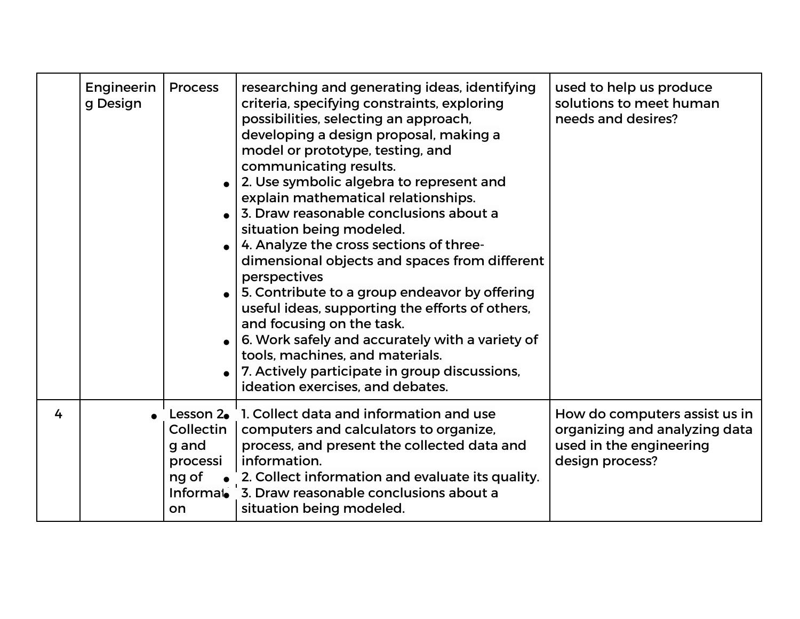|   | Engineerin<br>g Design | <b>Process</b>                                             | researching and generating ideas, identifying<br>criteria, specifying constraints, exploring<br>possibilities, selecting an approach,<br>developing a design proposal, making a<br>model or prototype, testing, and<br>communicating results.<br>2. Use symbolic algebra to represent and<br>explain mathematical relationships.<br>3. Draw reasonable conclusions about a<br>situation being modeled.<br>4. Analyze the cross sections of three-<br>dimensional objects and spaces from different<br>perspectives<br>5. Contribute to a group endeavor by offering<br>useful ideas, supporting the efforts of others,<br>and focusing on the task.<br>6. Work safely and accurately with a variety of<br>tools, machines, and materials.<br>7. Actively participate in group discussions,<br>ideation exercises, and debates. | used to help us produce<br>solutions to meet human<br>needs and desires?                                     |
|---|------------------------|------------------------------------------------------------|--------------------------------------------------------------------------------------------------------------------------------------------------------------------------------------------------------------------------------------------------------------------------------------------------------------------------------------------------------------------------------------------------------------------------------------------------------------------------------------------------------------------------------------------------------------------------------------------------------------------------------------------------------------------------------------------------------------------------------------------------------------------------------------------------------------------------------|--------------------------------------------------------------------------------------------------------------|
| 4 |                        | Collectin<br>g and<br>processi<br>ng of<br>Informal.<br>on | Lesson 2. 1. Collect data and information and use<br>computers and calculators to organize,<br>process, and present the collected data and<br>information.<br>2. Collect information and evaluate its quality.<br>3. Draw reasonable conclusions about a<br>situation being modeled.                                                                                                                                                                                                                                                                                                                                                                                                                                                                                                                                           | How do computers assist us in<br>organizing and analyzing data<br>used in the engineering<br>design process? |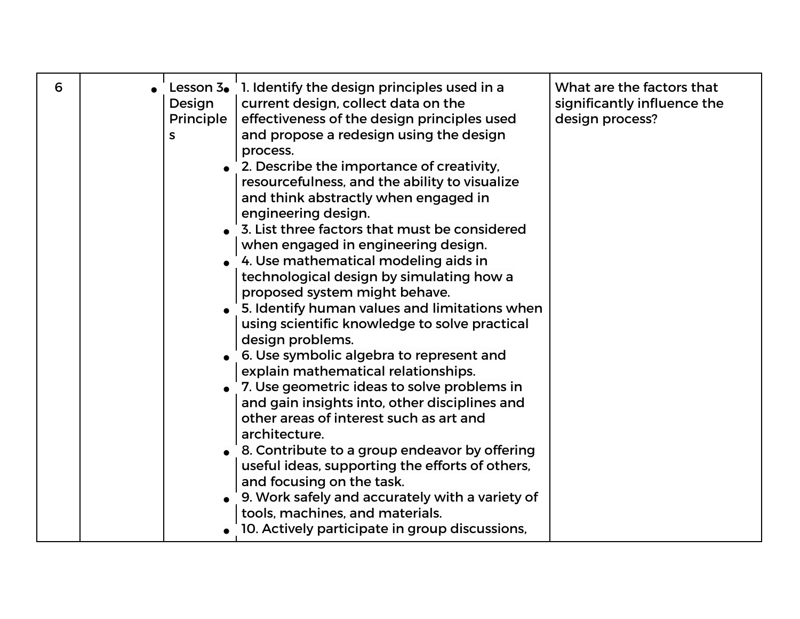| 6 | Design<br>Principle<br>S<br>$\bullet$ | Lesson $3\bullet$ 1. Identify the design principles used in a<br>current design, collect data on the<br>effectiveness of the design principles used<br>and propose a redesign using the design<br>process.<br>2. Describe the importance of creativity,<br>resourcefulness, and the ability to visualize<br>and think abstractly when engaged in<br>engineering design.<br>3. List three factors that must be considered<br>when engaged in engineering design.<br>4. Use mathematical modeling aids in<br>technological design by simulating how a<br>proposed system might behave.<br>5. Identify human values and limitations when<br>using scientific knowledge to solve practical<br>design problems.<br>6. Use symbolic algebra to represent and<br>explain mathematical relationships.<br>7. Use geometric ideas to solve problems in<br>and gain insights into, other disciplines and<br>other areas of interest such as art and<br>architecture.<br>8. Contribute to a group endeavor by offering<br>useful ideas, supporting the efforts of others,<br>and focusing on the task.<br>9. Work safely and accurately with a variety of | What are the factors that<br>significantly influence the<br>design process? |
|---|---------------------------------------|-----------------------------------------------------------------------------------------------------------------------------------------------------------------------------------------------------------------------------------------------------------------------------------------------------------------------------------------------------------------------------------------------------------------------------------------------------------------------------------------------------------------------------------------------------------------------------------------------------------------------------------------------------------------------------------------------------------------------------------------------------------------------------------------------------------------------------------------------------------------------------------------------------------------------------------------------------------------------------------------------------------------------------------------------------------------------------------------------------------------------------------------------|-----------------------------------------------------------------------------|
|   |                                       | tools, machines, and materials.<br>10. Actively participate in group discussions,                                                                                                                                                                                                                                                                                                                                                                                                                                                                                                                                                                                                                                                                                                                                                                                                                                                                                                                                                                                                                                                             |                                                                             |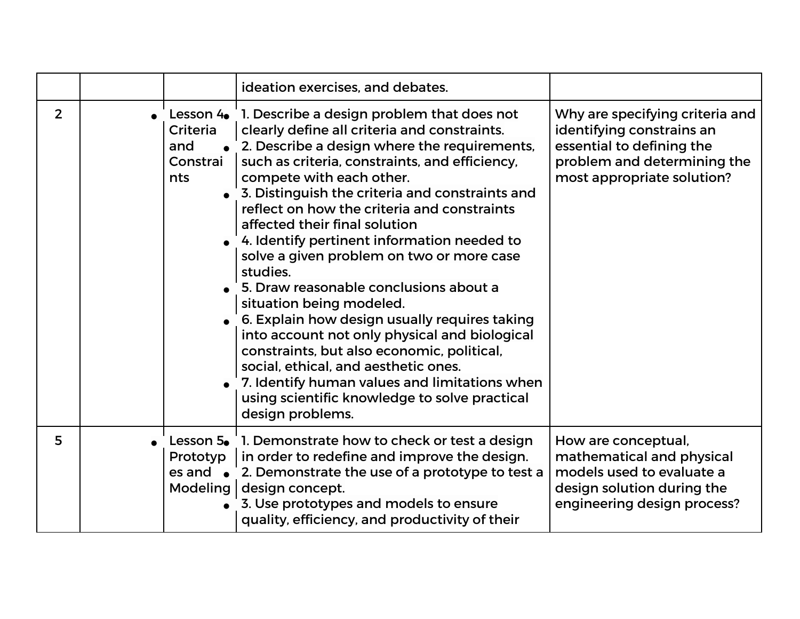|                |                                                         | ideation exercises, and debates.                                                                                                                                                                                                                                                                                                                                                                                                                                                                                                                                                                                                                                                                                                                                                                                                                          |                                                                                                                                                        |
|----------------|---------------------------------------------------------|-----------------------------------------------------------------------------------------------------------------------------------------------------------------------------------------------------------------------------------------------------------------------------------------------------------------------------------------------------------------------------------------------------------------------------------------------------------------------------------------------------------------------------------------------------------------------------------------------------------------------------------------------------------------------------------------------------------------------------------------------------------------------------------------------------------------------------------------------------------|--------------------------------------------------------------------------------------------------------------------------------------------------------|
| $\overline{2}$ | Lesson 4.<br>Criteria<br>and<br>Constrai<br>nts         | 1. Describe a design problem that does not<br>clearly define all criteria and constraints.<br>2. Describe a design where the requirements,<br>such as criteria, constraints, and efficiency,<br>compete with each other.<br>• 3. Distinguish the criteria and constraints and<br>reflect on how the criteria and constraints<br>affected their final solution<br>4. Identify pertinent information needed to<br>solve a given problem on two or more case<br>studies.<br>5. Draw reasonable conclusions about a<br>situation being modeled.<br>6. Explain how design usually requires taking<br>into account not only physical and biological<br>constraints, but also economic, political,<br>social, ethical, and aesthetic ones.<br>7. Identify human values and limitations when<br>using scientific knowledge to solve practical<br>design problems. | Why are specifying criteria and<br>identifying constrains an<br>essential to defining the<br>problem and determining the<br>most appropriate solution? |
| 5              | Lesson 5.<br>Prototyp<br>$es$ and $\bullet$<br>Modeling | 1. Demonstrate how to check or test a design<br>in order to redefine and improve the design.<br>2. Demonstrate the use of a prototype to test a<br>design concept.<br>3. Use prototypes and models to ensure<br>quality, efficiency, and productivity of their                                                                                                                                                                                                                                                                                                                                                                                                                                                                                                                                                                                            | How are conceptual,<br>mathematical and physical<br>models used to evaluate a<br>design solution during the<br>engineering design process?             |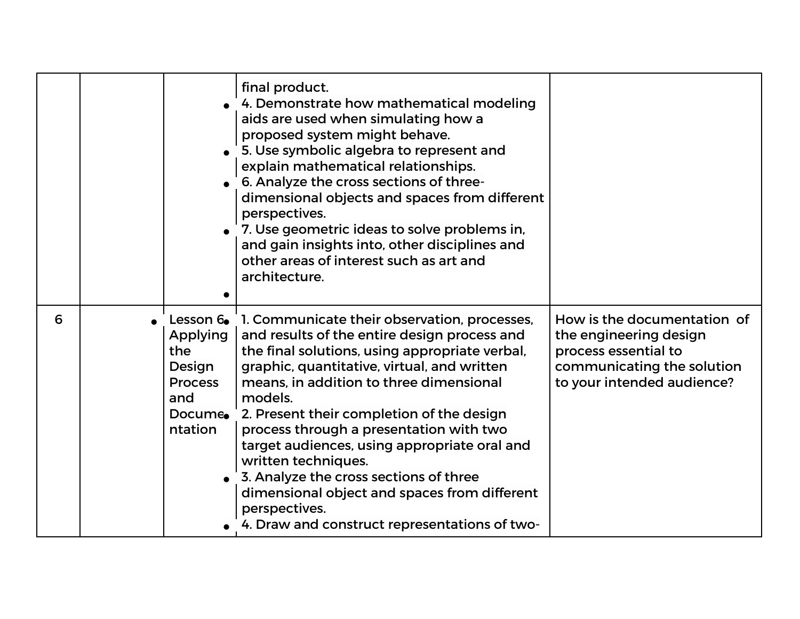|   | $\bullet$                                                     | final product.<br>4. Demonstrate how mathematical modeling<br>aids are used when simulating how a<br>proposed system might behave.<br>• 5. Use symbolic algebra to represent and<br>explain mathematical relationships.<br>6. Analyze the cross sections of three-<br>dimensional objects and spaces from different<br>perspectives.<br>7. Use geometric ideas to solve problems in,<br>and gain insights into, other disciplines and<br>other areas of interest such as art and<br>architecture.                                                                                                |                                                                                                                                           |
|---|---------------------------------------------------------------|--------------------------------------------------------------------------------------------------------------------------------------------------------------------------------------------------------------------------------------------------------------------------------------------------------------------------------------------------------------------------------------------------------------------------------------------------------------------------------------------------------------------------------------------------------------------------------------------------|-------------------------------------------------------------------------------------------------------------------------------------------|
| 6 | Applying<br>the<br>Design<br><b>Process</b><br>and<br>ntation | Lesson 6. 1. Communicate their observation, processes,<br>and results of the entire design process and<br>the final solutions, using appropriate verbal,<br>graphic, quantitative, virtual, and written<br>means, in addition to three dimensional<br>models.<br>Docume. 2. Present their completion of the design<br>process through a presentation with two<br>target audiences, using appropriate oral and<br>written techniques.<br>3. Analyze the cross sections of three<br>dimensional object and spaces from different<br>perspectives.<br>4. Draw and construct representations of two- | How is the documentation of<br>the engineering design<br>process essential to<br>communicating the solution<br>to your intended audience? |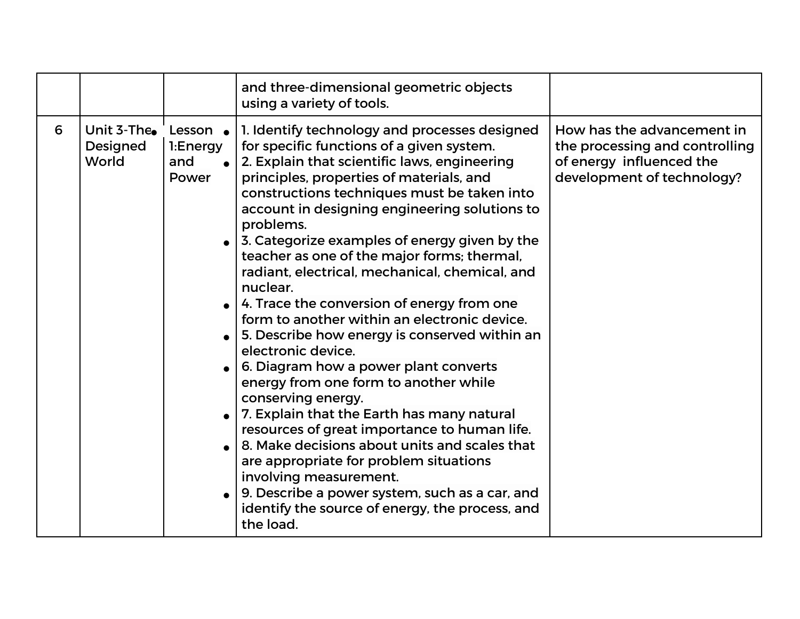|   |                                  |                                      | and three-dimensional geometric objects<br>using a variety of tools.                                                                                                                                                                                                                                                                                                                                                                                                                                                                                                                                                                                                                                                                                                                                                                                                                                                                                                                                                                                                                |                                                                                                                        |
|---|----------------------------------|--------------------------------------|-------------------------------------------------------------------------------------------------------------------------------------------------------------------------------------------------------------------------------------------------------------------------------------------------------------------------------------------------------------------------------------------------------------------------------------------------------------------------------------------------------------------------------------------------------------------------------------------------------------------------------------------------------------------------------------------------------------------------------------------------------------------------------------------------------------------------------------------------------------------------------------------------------------------------------------------------------------------------------------------------------------------------------------------------------------------------------------|------------------------------------------------------------------------------------------------------------------------|
| 6 | Unit 3-The.<br>Designed<br>World | Lesson •<br>1:Energy<br>and<br>Power | 1. Identify technology and processes designed<br>for specific functions of a given system.<br>2. Explain that scientific laws, engineering<br>principles, properties of materials, and<br>constructions techniques must be taken into<br>account in designing engineering solutions to<br>problems.<br>3. Categorize examples of energy given by the<br>teacher as one of the major forms; thermal,<br>radiant, electrical, mechanical, chemical, and<br>nuclear.<br>4. Trace the conversion of energy from one<br>form to another within an electronic device.<br>5. Describe how energy is conserved within an<br>electronic device.<br>6. Diagram how a power plant converts<br>energy from one form to another while<br>conserving energy.<br>7. Explain that the Earth has many natural<br>resources of great importance to human life.<br>8. Make decisions about units and scales that<br>are appropriate for problem situations<br>involving measurement.<br>9. Describe a power system, such as a car, and<br>identify the source of energy, the process, and<br>the load. | How has the advancement in<br>the processing and controlling<br>of energy influenced the<br>development of technology? |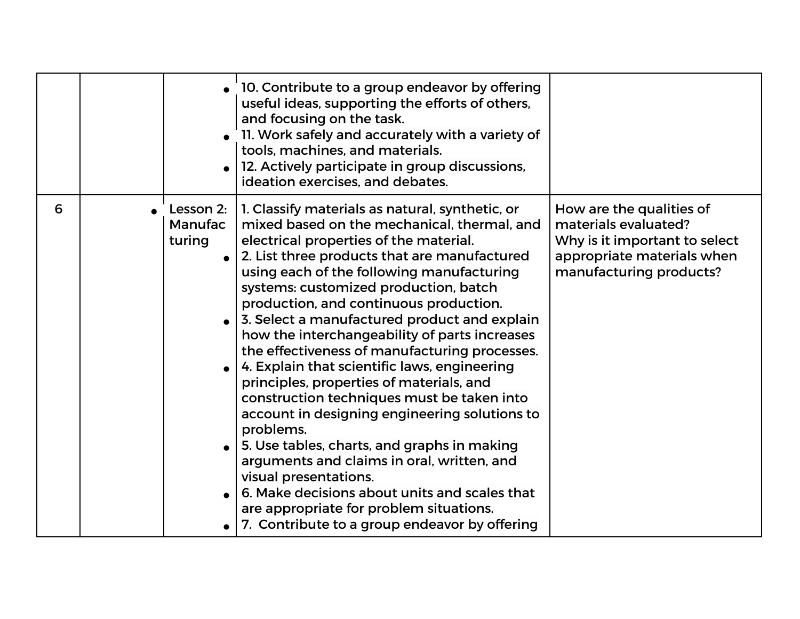|   |                                             | 10. Contribute to a group endeavor by offering<br>useful ideas, supporting the efforts of others,<br>and focusing on the task.<br>11. Work safely and accurately with a variety of<br>tools, machines, and materials.<br>12. Actively participate in group discussions,<br>ideation exercises, and debates.                                                                                                                                                                                                                                                                                                                                                                                                                                                                                                                                                                                                                                           |                                                                                                                                            |
|---|---------------------------------------------|-------------------------------------------------------------------------------------------------------------------------------------------------------------------------------------------------------------------------------------------------------------------------------------------------------------------------------------------------------------------------------------------------------------------------------------------------------------------------------------------------------------------------------------------------------------------------------------------------------------------------------------------------------------------------------------------------------------------------------------------------------------------------------------------------------------------------------------------------------------------------------------------------------------------------------------------------------|--------------------------------------------------------------------------------------------------------------------------------------------|
| 6 | Lesson 2:<br>Manufac<br>turing<br>$\bullet$ | 1. Classify materials as natural, synthetic, or<br>mixed based on the mechanical, thermal, and<br>electrical properties of the material.<br>2. List three products that are manufactured<br>using each of the following manufacturing<br>systems: customized production, batch<br>production, and continuous production.<br>3. Select a manufactured product and explain<br>how the interchangeability of parts increases<br>the effectiveness of manufacturing processes.<br>4. Explain that scientific laws, engineering<br>principles, properties of materials, and<br>construction techniques must be taken into<br>account in designing engineering solutions to<br>problems.<br>5. Use tables, charts, and graphs in making<br>arguments and claims in oral, written, and<br>visual presentations.<br>6. Make decisions about units and scales that<br>are appropriate for problem situations.<br>7. Contribute to a group endeavor by offering | How are the qualities of<br>materials evaluated?<br>Why is it important to select<br>appropriate materials when<br>manufacturing products? |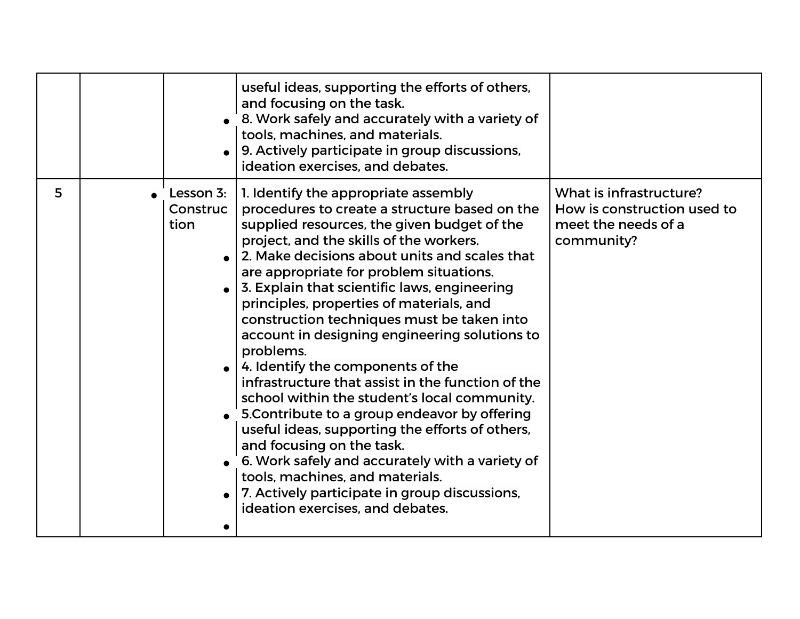|   |                               | useful ideas, supporting the efforts of others,<br>and focusing on the task.<br>8. Work safely and accurately with a variety of<br>tools, machines, and materials.<br>9. Actively participate in group discussions,<br>ideation exercises, and debates.                                                                                                                                                                                                                                                                                                                                                                                                                                                                                                                                                                                                                                                                                   |                                                                                             |
|---|-------------------------------|-------------------------------------------------------------------------------------------------------------------------------------------------------------------------------------------------------------------------------------------------------------------------------------------------------------------------------------------------------------------------------------------------------------------------------------------------------------------------------------------------------------------------------------------------------------------------------------------------------------------------------------------------------------------------------------------------------------------------------------------------------------------------------------------------------------------------------------------------------------------------------------------------------------------------------------------|---------------------------------------------------------------------------------------------|
| 5 | Lesson 3:<br>Construc<br>tion | 1. Identify the appropriate assembly<br>procedures to create a structure based on the<br>supplied resources, the given budget of the<br>project, and the skills of the workers.<br>2. Make decisions about units and scales that<br>are appropriate for problem situations.<br>3. Explain that scientific laws, engineering<br>principles, properties of materials, and<br>construction techniques must be taken into<br>account in designing engineering solutions to<br>problems.<br>4. Identify the components of the<br>infrastructure that assist in the function of the<br>school within the student's local community.<br>5. Contribute to a group endeavor by offering<br>useful ideas, supporting the efforts of others,<br>and focusing on the task.<br>6. Work safely and accurately with a variety of<br>tools, machines, and materials.<br>7. Actively participate in group discussions,<br>ideation exercises, and debates. | What is infrastructure?<br>How is construction used to<br>meet the needs of a<br>community? |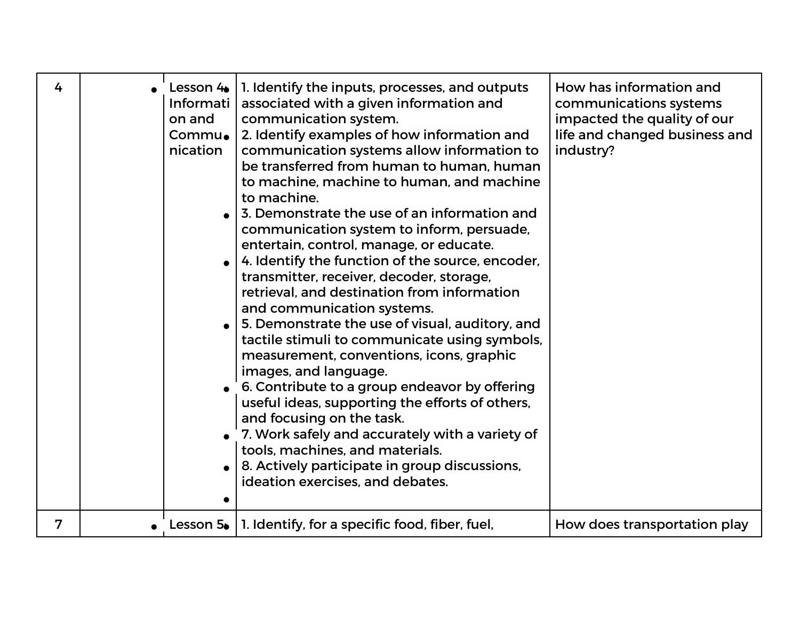| 4              | Lesson 4<br>Informati<br>on and<br>Commu.<br>nication | 1. Identify the inputs, processes, and outputs<br>associated with a given information and<br>communication system.<br>2. Identify examples of how information and<br>communication systems allow information to<br>be transferred from human to human, human<br>to machine, machine to human, and machine<br>to machine.<br>3. Demonstrate the use of an information and<br>communication system to inform, persuade,<br>entertain, control, manage, or educate.<br>4. Identify the function of the source, encoder,<br>transmitter, receiver, decoder, storage,<br>retrieval, and destination from information<br>and communication systems.<br>5. Demonstrate the use of visual, auditory, and<br>tactile stimuli to communicate using symbols,<br>measurement, conventions, icons, graphic<br>images, and language.<br>6. Contribute to a group endeavor by offering<br>useful ideas, supporting the efforts of others,<br>and focusing on the task.<br>7. Work safely and accurately with a variety of<br>tools, machines, and materials.<br>8. Actively participate in group discussions,<br>ideation exercises, and debates. | How has information and<br>communications systems<br>impacted the quality of our<br>life and changed business and<br>industry? |
|----------------|-------------------------------------------------------|------------------------------------------------------------------------------------------------------------------------------------------------------------------------------------------------------------------------------------------------------------------------------------------------------------------------------------------------------------------------------------------------------------------------------------------------------------------------------------------------------------------------------------------------------------------------------------------------------------------------------------------------------------------------------------------------------------------------------------------------------------------------------------------------------------------------------------------------------------------------------------------------------------------------------------------------------------------------------------------------------------------------------------------------------------------------------------------------------------------------------------|--------------------------------------------------------------------------------------------------------------------------------|
| $\overline{7}$ |                                                       | Lesson $5\bullet$   1. Identify, for a specific food, fiber, fuel,                                                                                                                                                                                                                                                                                                                                                                                                                                                                                                                                                                                                                                                                                                                                                                                                                                                                                                                                                                                                                                                                 | How does transportation play                                                                                                   |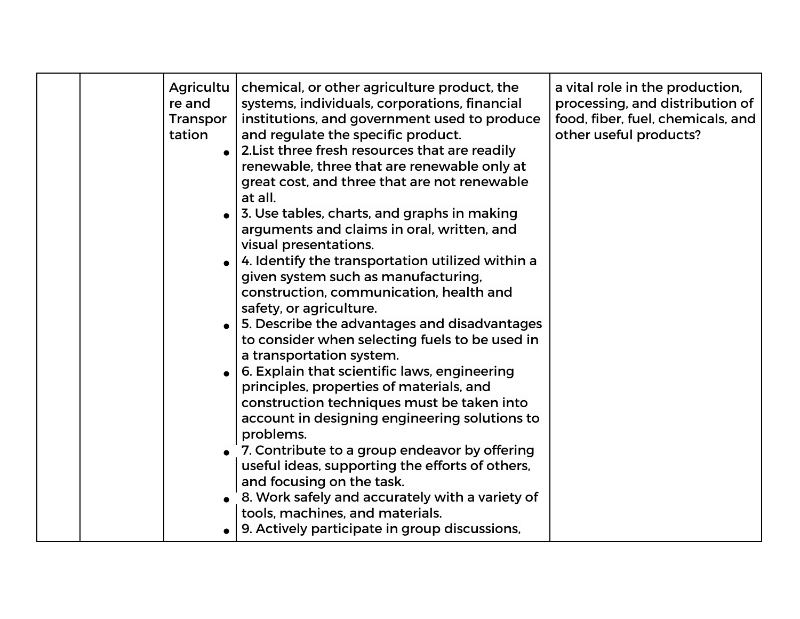| <b>Agricultu</b><br>re and<br>Transpor<br>tation | chemical, or other agriculture product, the<br>systems, individuals, corporations, financial<br>institutions, and government used to produce<br>and regulate the specific product.<br>2. List three fresh resources that are readily<br>renewable, three that are renewable only at<br>great cost, and three that are not renewable<br>at all.                                                                                                                                                                                                                                                                                                                                                                                                                                                                                                                                                    | a vital role in the production,<br>processing, and distribution of<br>food, fiber, fuel, chemicals, and<br>other useful products? |
|--------------------------------------------------|---------------------------------------------------------------------------------------------------------------------------------------------------------------------------------------------------------------------------------------------------------------------------------------------------------------------------------------------------------------------------------------------------------------------------------------------------------------------------------------------------------------------------------------------------------------------------------------------------------------------------------------------------------------------------------------------------------------------------------------------------------------------------------------------------------------------------------------------------------------------------------------------------|-----------------------------------------------------------------------------------------------------------------------------------|
|                                                  | 3. Use tables, charts, and graphs in making<br>arguments and claims in oral, written, and<br>visual presentations.<br>4. Identify the transportation utilized within a<br>given system such as manufacturing,<br>construction, communication, health and<br>safety, or agriculture.<br>5. Describe the advantages and disadvantages<br>to consider when selecting fuels to be used in<br>a transportation system.<br>6. Explain that scientific laws, engineering<br>principles, properties of materials, and<br>construction techniques must be taken into<br>account in designing engineering solutions to<br>problems.<br>7. Contribute to a group endeavor by offering<br>useful ideas, supporting the efforts of others,<br>and focusing on the task.<br>8. Work safely and accurately with a variety of<br>tools, machines, and materials.<br>9. Actively participate in group discussions, |                                                                                                                                   |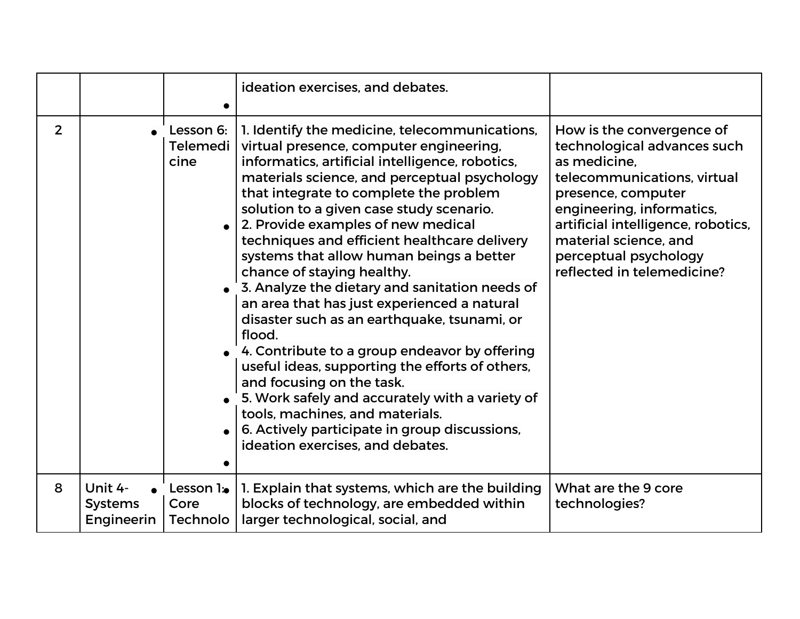|                  |                                         |                               | ideation exercises, and debates.                                                                                                                                                                                                                                                                                                                                                                                                                                                                                                                                                                                                                                                                                                                                                                                                                                                                                        |                                                                                                                                                                                                                                                                                  |
|------------------|-----------------------------------------|-------------------------------|-------------------------------------------------------------------------------------------------------------------------------------------------------------------------------------------------------------------------------------------------------------------------------------------------------------------------------------------------------------------------------------------------------------------------------------------------------------------------------------------------------------------------------------------------------------------------------------------------------------------------------------------------------------------------------------------------------------------------------------------------------------------------------------------------------------------------------------------------------------------------------------------------------------------------|----------------------------------------------------------------------------------------------------------------------------------------------------------------------------------------------------------------------------------------------------------------------------------|
| $2 \overline{ }$ |                                         | Lesson 6:<br>Telemedi<br>cine | 1. Identify the medicine, telecommunications,<br>virtual presence, computer engineering,<br>informatics, artificial intelligence, robotics,<br>materials science, and perceptual psychology<br>that integrate to complete the problem<br>solution to a given case study scenario.<br>2. Provide examples of new medical<br>techniques and efficient healthcare delivery<br>systems that allow human beings a better<br>chance of staying healthy.<br>3. Analyze the dietary and sanitation needs of<br>an area that has just experienced a natural<br>disaster such as an earthquake, tsunami, or<br>flood.<br>4. Contribute to a group endeavor by offering<br>useful ideas, supporting the efforts of others,<br>and focusing on the task.<br>5. Work safely and accurately with a variety of<br>tools, machines, and materials.<br>6. Actively participate in group discussions,<br>ideation exercises, and debates. | How is the convergence of<br>technological advances such<br>as medicine.<br>telecommunications, virtual<br>presence, computer<br>engineering, informatics,<br>artificial intelligence, robotics,<br>material science, and<br>perceptual psychology<br>reflected in telemedicine? |
| 8                | Unit 4-<br><b>Systems</b><br>Engineerin | Lesson 1:<br>Core<br>Technolo | 1. Explain that systems, which are the building<br>blocks of technology, are embedded within<br>larger technological, social, and                                                                                                                                                                                                                                                                                                                                                                                                                                                                                                                                                                                                                                                                                                                                                                                       | What are the 9 core<br>technologies?                                                                                                                                                                                                                                             |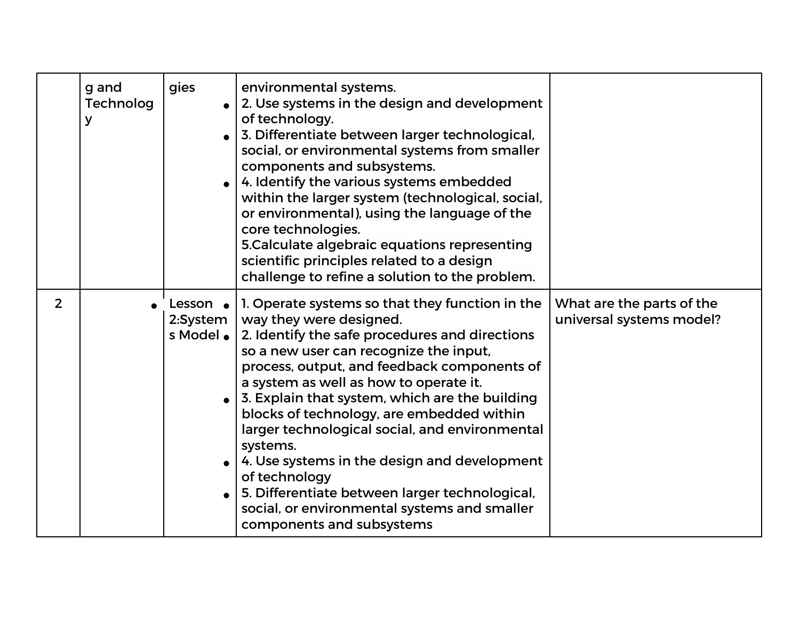|                | g and<br><b>Technolog</b><br>y | gies      | environmental systems.<br>2. Use systems in the design and development<br>of technology.<br>3. Differentiate between larger technological,<br>social, or environmental systems from smaller<br>components and subsystems.<br>4. Identify the various systems embedded<br>within the larger system (technological, social,<br>or environmental), using the language of the<br>core technologies.<br>5. Calculate algebraic equations representing<br>scientific principles related to a design<br>challenge to refine a solution to the problem.                                                                                                           |                                                       |
|----------------|--------------------------------|-----------|-----------------------------------------------------------------------------------------------------------------------------------------------------------------------------------------------------------------------------------------------------------------------------------------------------------------------------------------------------------------------------------------------------------------------------------------------------------------------------------------------------------------------------------------------------------------------------------------------------------------------------------------------------------|-------------------------------------------------------|
| $\overline{2}$ |                                | s Model • | Lesson $\bullet$ 1. Operate systems so that they function in the<br>2. System   way they were designed.<br>2. Identify the safe procedures and directions<br>so a new user can recognize the input,<br>process, output, and feedback components of<br>a system as well as how to operate it.<br>3. Explain that system, which are the building<br>blocks of technology, are embedded within<br>larger technological social, and environmental<br>systems.<br>4. Use systems in the design and development<br>of technology<br>5. Differentiate between larger technological,<br>social, or environmental systems and smaller<br>components and subsystems | What are the parts of the<br>universal systems model? |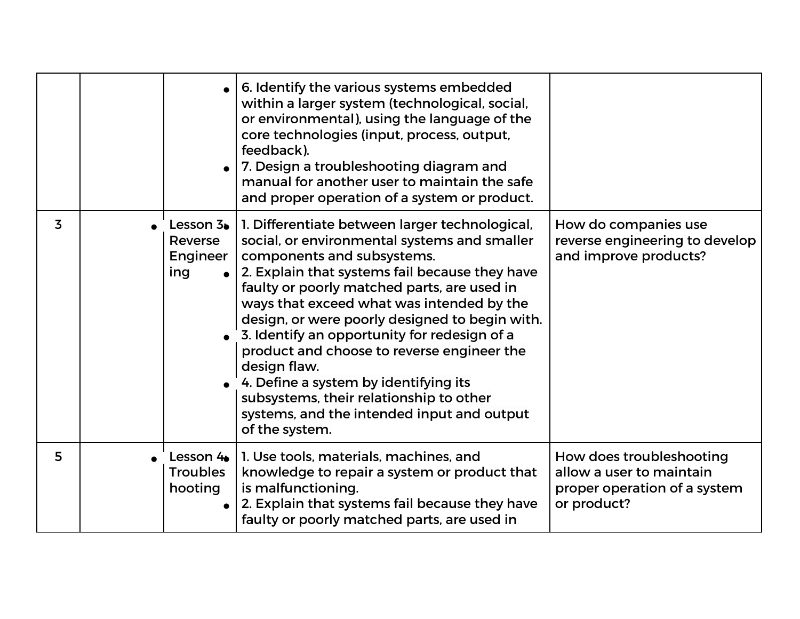|                |                            | 6. Identify the various systems embedded<br>within a larger system (technological, social,<br>or environmental), using the language of the<br>core technologies (input, process, output,<br>feedback).<br>7. Design a troubleshooting diagram and<br>manual for another user to maintain the safe<br>and proper operation of a system or product.                                                                                                                                                                                                                                                                  |                                                                                                     |
|----------------|----------------------------|--------------------------------------------------------------------------------------------------------------------------------------------------------------------------------------------------------------------------------------------------------------------------------------------------------------------------------------------------------------------------------------------------------------------------------------------------------------------------------------------------------------------------------------------------------------------------------------------------------------------|-----------------------------------------------------------------------------------------------------|
| $\overline{3}$ | Reverse<br>Engineer<br>ing | Lesson $3\bullet$   1. Differentiate between larger technological,<br>social, or environmental systems and smaller<br>components and subsystems.<br>2. Explain that systems fail because they have<br>faulty or poorly matched parts, are used in<br>ways that exceed what was intended by the<br>design, or were poorly designed to begin with.<br>3. Identify an opportunity for redesign of a<br>product and choose to reverse engineer the<br>design flaw.<br>4. Define a system by identifying its<br>subsystems, their relationship to other<br>systems, and the intended input and output<br>of the system. | How do companies use<br>reverse engineering to develop<br>and improve products?                     |
| 5              | <b>Troubles</b><br>hooting | Lesson $4\bullet$ 1. Use tools, materials, machines, and<br>knowledge to repair a system or product that<br>is malfunctioning.<br>2. Explain that systems fail because they have<br>faulty or poorly matched parts, are used in                                                                                                                                                                                                                                                                                                                                                                                    | How does troubleshooting<br>allow a user to maintain<br>proper operation of a system<br>or product? |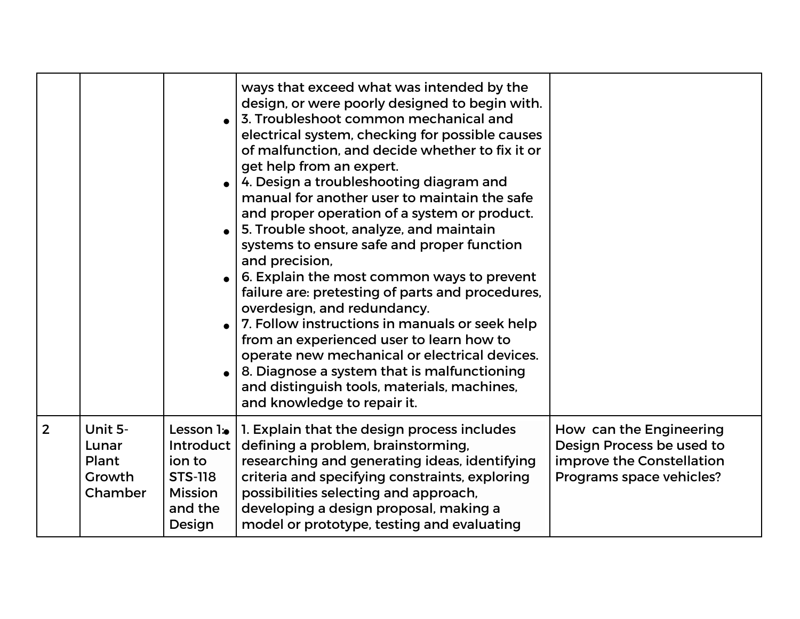|                |                                                | $\bullet$                                                                                 | ways that exceed what was intended by the<br>design, or were poorly designed to begin with.<br>3. Troubleshoot common mechanical and<br>electrical system, checking for possible causes<br>of malfunction, and decide whether to fix it or<br>get help from an expert.<br>4. Design a troubleshooting diagram and<br>manual for another user to maintain the safe<br>and proper operation of a system or product.<br>5. Trouble shoot, analyze, and maintain<br>systems to ensure safe and proper function<br>and precision,<br>6. Explain the most common ways to prevent<br>failure are: pretesting of parts and procedures,<br>overdesign, and redundancy.<br>7. Follow instructions in manuals or seek help<br>from an experienced user to learn how to<br>operate new mechanical or electrical devices.<br>8. Diagnose a system that is malfunctioning<br>and distinguish tools, materials, machines,<br>and knowledge to repair it. |                                                                                                               |
|----------------|------------------------------------------------|-------------------------------------------------------------------------------------------|-------------------------------------------------------------------------------------------------------------------------------------------------------------------------------------------------------------------------------------------------------------------------------------------------------------------------------------------------------------------------------------------------------------------------------------------------------------------------------------------------------------------------------------------------------------------------------------------------------------------------------------------------------------------------------------------------------------------------------------------------------------------------------------------------------------------------------------------------------------------------------------------------------------------------------------------|---------------------------------------------------------------------------------------------------------------|
| $\overline{2}$ | Unit 5-<br>Lunar<br>Plant<br>Growth<br>Chamber | Lesson 1:<br>Introduct<br>ion to<br><b>STS-118</b><br><b>Mission</b><br>and the<br>Design | 1. Explain that the design process includes<br>defining a problem, brainstorming,<br>researching and generating ideas, identifying<br>criteria and specifying constraints, exploring<br>possibilities selecting and approach,<br>developing a design proposal, making a<br>model or prototype, testing and evaluating                                                                                                                                                                                                                                                                                                                                                                                                                                                                                                                                                                                                                     | How can the Engineering<br>Design Process be used to<br>improve the Constellation<br>Programs space vehicles? |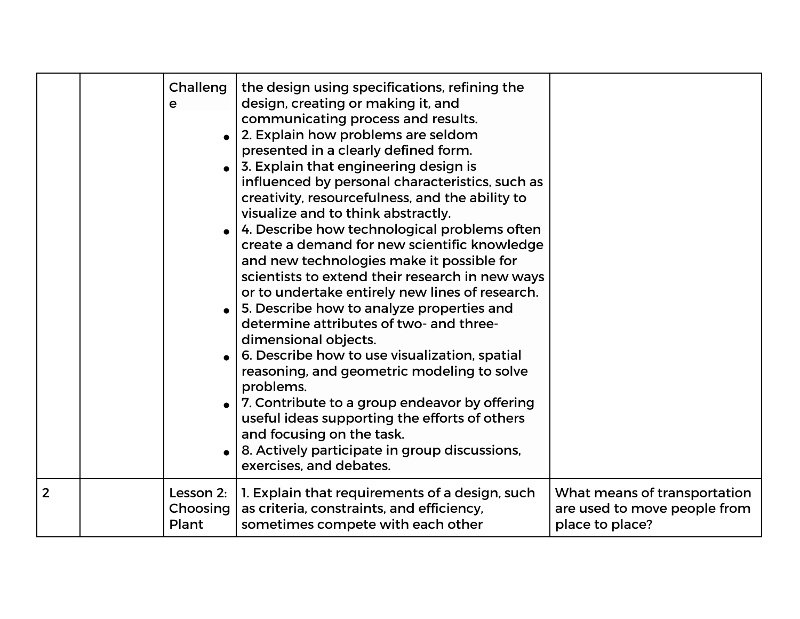|                | Challeng<br>$\mathbf e$<br>$\bullet$ | the design using specifications, refining the<br>design, creating or making it, and<br>communicating process and results.<br>2. Explain how problems are seldom<br>presented in a clearly defined form.<br>3. Explain that engineering design is<br>influenced by personal characteristics, such as<br>creativity, resourcefulness, and the ability to<br>visualize and to think abstractly.<br>4. Describe how technological problems often<br>create a demand for new scientific knowledge<br>and new technologies make it possible for<br>scientists to extend their research in new ways<br>or to undertake entirely new lines of research.<br>5. Describe how to analyze properties and<br>determine attributes of two- and three-<br>dimensional objects.<br>6. Describe how to use visualization, spatial<br>reasoning, and geometric modeling to solve<br>problems.<br>7. Contribute to a group endeavor by offering<br>useful ideas supporting the efforts of others<br>and focusing on the task.<br>8. Actively participate in group discussions,<br>exercises, and debates. |                                                                                 |
|----------------|--------------------------------------|----------------------------------------------------------------------------------------------------------------------------------------------------------------------------------------------------------------------------------------------------------------------------------------------------------------------------------------------------------------------------------------------------------------------------------------------------------------------------------------------------------------------------------------------------------------------------------------------------------------------------------------------------------------------------------------------------------------------------------------------------------------------------------------------------------------------------------------------------------------------------------------------------------------------------------------------------------------------------------------------------------------------------------------------------------------------------------------|---------------------------------------------------------------------------------|
| $\overline{2}$ | Lesson 2:<br>Choosing<br>Plant       | 1. Explain that requirements of a design, such<br>as criteria, constraints, and efficiency,<br>sometimes compete with each other                                                                                                                                                                                                                                                                                                                                                                                                                                                                                                                                                                                                                                                                                                                                                                                                                                                                                                                                                       | What means of transportation<br>are used to move people from<br>place to place? |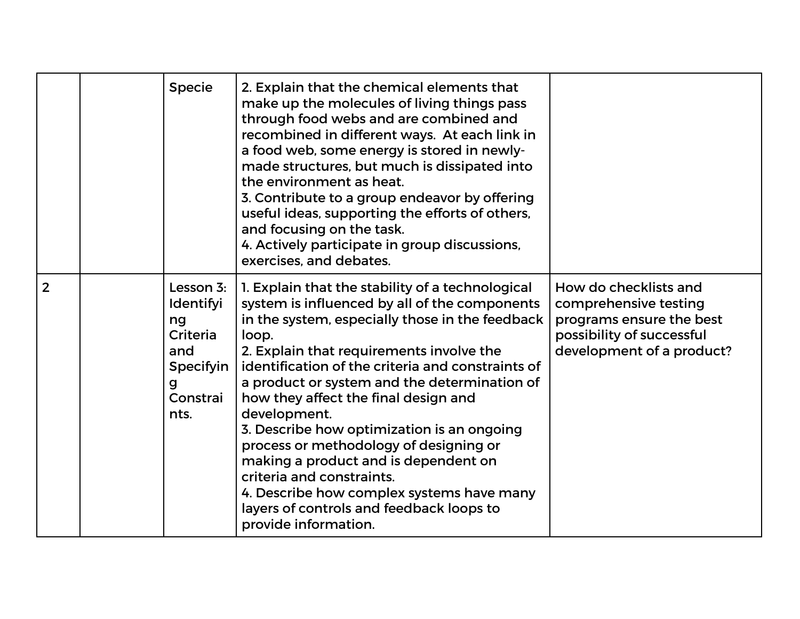|                | <b>Specie</b>                                                                         | 2. Explain that the chemical elements that<br>make up the molecules of living things pass<br>through food webs and are combined and<br>recombined in different ways. At each link in<br>a food web, some energy is stored in newly-<br>made structures, but much is dissipated into<br>the environment as heat.<br>3. Contribute to a group endeavor by offering<br>useful ideas, supporting the efforts of others,<br>and focusing on the task.<br>4. Actively participate in group discussions,<br>exercises, and debates.                                                                                                                         |                                                                                                                                      |
|----------------|---------------------------------------------------------------------------------------|------------------------------------------------------------------------------------------------------------------------------------------------------------------------------------------------------------------------------------------------------------------------------------------------------------------------------------------------------------------------------------------------------------------------------------------------------------------------------------------------------------------------------------------------------------------------------------------------------------------------------------------------------|--------------------------------------------------------------------------------------------------------------------------------------|
| $\overline{2}$ | Lesson 3:<br>Identifyi<br>ng<br>Criteria<br>and<br>Specifyin<br>g<br>Constrai<br>nts. | 1. Explain that the stability of a technological<br>system is influenced by all of the components<br>in the system, especially those in the feedback<br>loop.<br>2. Explain that requirements involve the<br>identification of the criteria and constraints of<br>a product or system and the determination of<br>how they affect the final design and<br>development.<br>3. Describe how optimization is an ongoing<br>process or methodology of designing or<br>making a product and is dependent on<br>criteria and constraints.<br>4. Describe how complex systems have many<br>layers of controls and feedback loops to<br>provide information. | How do checklists and<br>comprehensive testing<br>programs ensure the best<br>possibility of successful<br>development of a product? |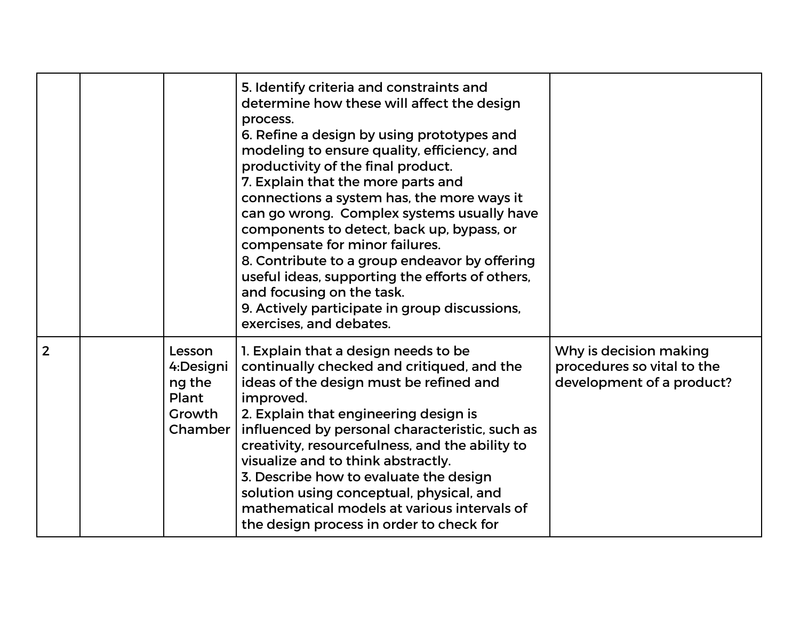|                |                                                             | 5. Identify criteria and constraints and<br>determine how these will affect the design<br>process.<br>6. Refine a design by using prototypes and<br>modeling to ensure quality, efficiency, and<br>productivity of the final product.<br>7. Explain that the more parts and<br>connections a system has, the more ways it<br>can go wrong. Complex systems usually have<br>components to detect, back up, bypass, or<br>compensate for minor failures.<br>8. Contribute to a group endeavor by offering<br>useful ideas, supporting the efforts of others,<br>and focusing on the task.<br>9. Actively participate in group discussions,<br>exercises, and debates. |                                                                                   |
|----------------|-------------------------------------------------------------|---------------------------------------------------------------------------------------------------------------------------------------------------------------------------------------------------------------------------------------------------------------------------------------------------------------------------------------------------------------------------------------------------------------------------------------------------------------------------------------------------------------------------------------------------------------------------------------------------------------------------------------------------------------------|-----------------------------------------------------------------------------------|
| $\overline{2}$ | Lesson<br>4:Designi<br>ng the<br>Plant<br>Growth<br>Chamber | 1. Explain that a design needs to be<br>continually checked and critiqued, and the<br>ideas of the design must be refined and<br>improved.<br>2. Explain that engineering design is<br>influenced by personal characteristic, such as<br>creativity, resourcefulness, and the ability to<br>visualize and to think abstractly.<br>3. Describe how to evaluate the design<br>solution using conceptual, physical, and<br>mathematical models at various intervals of<br>the design process in order to check for                                                                                                                                                     | Why is decision making<br>procedures so vital to the<br>development of a product? |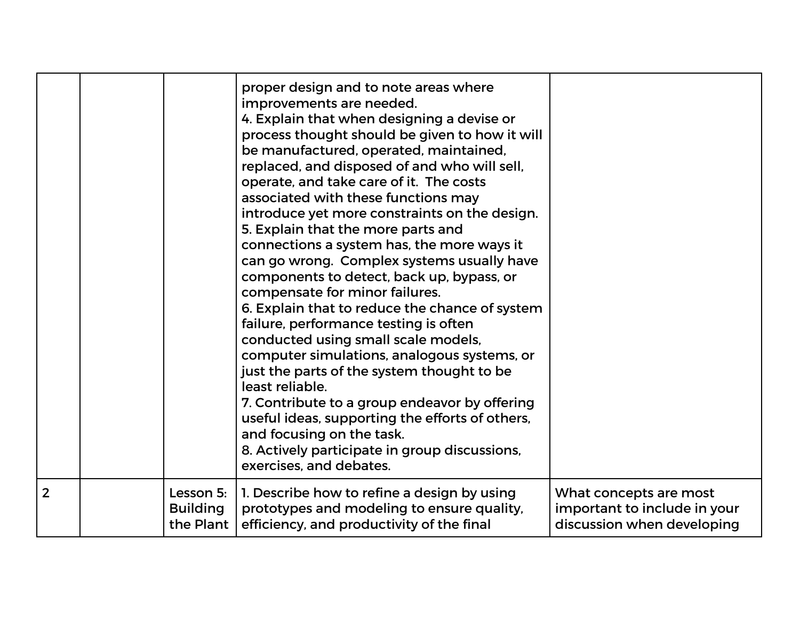|                |                                           | proper design and to note areas where<br>improvements are needed.<br>4. Explain that when designing a devise or<br>process thought should be given to how it will<br>be manufactured, operated, maintained,<br>replaced, and disposed of and who will sell,<br>operate, and take care of it. The costs<br>associated with these functions may<br>introduce yet more constraints on the design.<br>5. Explain that the more parts and<br>connections a system has, the more ways it<br>can go wrong. Complex systems usually have<br>components to detect, back up, bypass, or<br>compensate for minor failures.<br>6. Explain that to reduce the chance of system<br>failure, performance testing is often<br>conducted using small scale models,<br>computer simulations, analogous systems, or<br>just the parts of the system thought to be<br>least reliable.<br>7. Contribute to a group endeavor by offering<br>useful ideas, supporting the efforts of others,<br>and focusing on the task.<br>8. Actively participate in group discussions,<br>exercises, and debates. |                                                                                      |
|----------------|-------------------------------------------|--------------------------------------------------------------------------------------------------------------------------------------------------------------------------------------------------------------------------------------------------------------------------------------------------------------------------------------------------------------------------------------------------------------------------------------------------------------------------------------------------------------------------------------------------------------------------------------------------------------------------------------------------------------------------------------------------------------------------------------------------------------------------------------------------------------------------------------------------------------------------------------------------------------------------------------------------------------------------------------------------------------------------------------------------------------------------------|--------------------------------------------------------------------------------------|
| $\overline{2}$ | Lesson 5:<br><b>Building</b><br>the Plant | 1. Describe how to refine a design by using<br>prototypes and modeling to ensure quality,<br>efficiency, and productivity of the final                                                                                                                                                                                                                                                                                                                                                                                                                                                                                                                                                                                                                                                                                                                                                                                                                                                                                                                                         | What concepts are most<br>important to include in your<br>discussion when developing |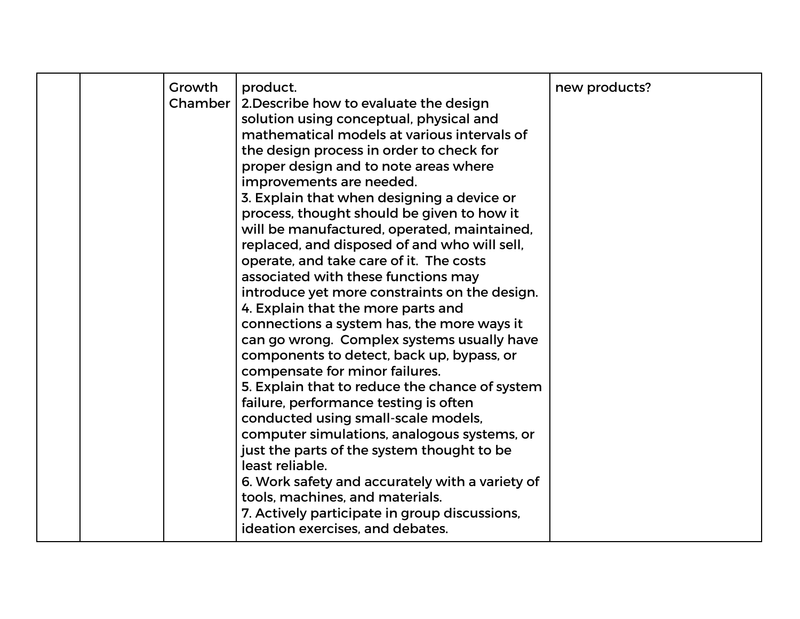|  | Growth  | product.                                        | new products? |
|--|---------|-------------------------------------------------|---------------|
|  | Chamber | 2. Describe how to evaluate the design          |               |
|  |         | solution using conceptual, physical and         |               |
|  |         | mathematical models at various intervals of     |               |
|  |         | the design process in order to check for        |               |
|  |         | proper design and to note areas where           |               |
|  |         | improvements are needed.                        |               |
|  |         | 3. Explain that when designing a device or      |               |
|  |         | process, thought should be given to how it      |               |
|  |         | will be manufactured, operated, maintained,     |               |
|  |         | replaced, and disposed of and who will sell,    |               |
|  |         | operate, and take care of it. The costs         |               |
|  |         | associated with these functions may             |               |
|  |         | introduce yet more constraints on the design.   |               |
|  |         | 4. Explain that the more parts and              |               |
|  |         | connections a system has, the more ways it      |               |
|  |         | can go wrong. Complex systems usually have      |               |
|  |         | components to detect, back up, bypass, or       |               |
|  |         | compensate for minor failures.                  |               |
|  |         | 5. Explain that to reduce the chance of system  |               |
|  |         | failure, performance testing is often           |               |
|  |         | conducted using small-scale models,             |               |
|  |         | computer simulations, analogous systems, or     |               |
|  |         | just the parts of the system thought to be      |               |
|  |         | least reliable.                                 |               |
|  |         | 6. Work safety and accurately with a variety of |               |
|  |         | tools, machines, and materials.                 |               |
|  |         | 7. Actively participate in group discussions,   |               |
|  |         | ideation exercises, and debates.                |               |
|  |         |                                                 |               |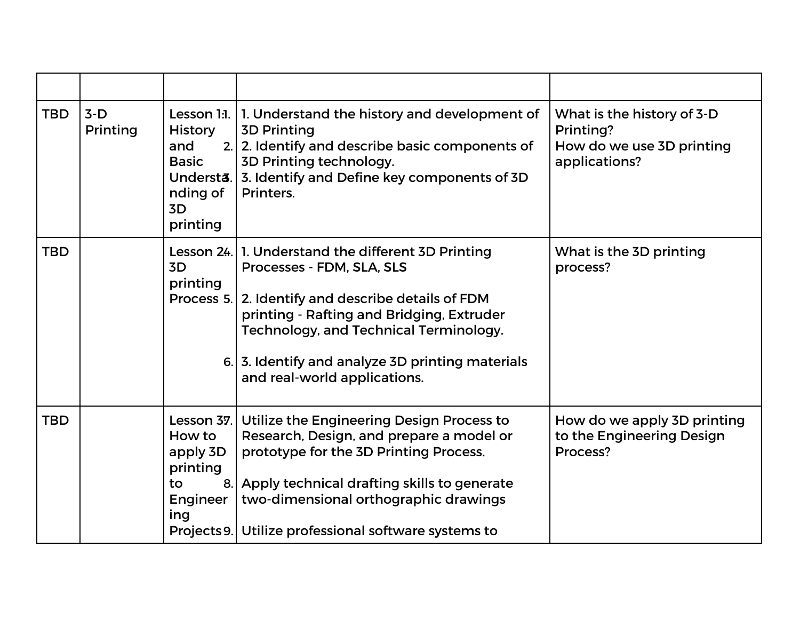| <b>TBD</b> | $3-D$<br>Printing | Lesson 1:1.<br><b>History</b><br>and<br><b>Basic</b><br>Understa.<br>nding of<br>3D<br>printing | 1. Understand the history and development of<br><b>3D Printing</b><br>2. 2. Identify and describe basic components of<br>3D Printing technology.<br>3. Identify and Define key components of 3D<br>Printers.                                                                                                     | What is the history of 3-D<br>Printing?<br>How do we use 3D printing<br>applications? |
|------------|-------------------|-------------------------------------------------------------------------------------------------|------------------------------------------------------------------------------------------------------------------------------------------------------------------------------------------------------------------------------------------------------------------------------------------------------------------|---------------------------------------------------------------------------------------|
| <b>TBD</b> |                   | 3D<br>printing                                                                                  | Lesson 24. 1. Understand the different 3D Printing<br>Processes - FDM, SLA, SLS<br>Process 5. 2. Identify and describe details of FDM<br>printing - Rafting and Bridging, Extruder<br>Technology, and Technical Terminology.<br>6. 3. Identify and analyze 3D printing materials<br>and real-world applications. | What is the 3D printing<br>process?                                                   |
| <b>TBD</b> |                   | Lesson $37.$<br>How to<br>apply 3D<br>printing<br>to<br>8.<br>Engineer<br>ing                   | Utilize the Engineering Design Process to<br>Research, Design, and prepare a model or<br>prototype for the 3D Printing Process.<br>Apply technical drafting skills to generate<br>two-dimensional orthographic drawings<br>Projects 9. Utilize professional software systems to                                  | How do we apply 3D printing<br>to the Engineering Design<br>Process?                  |